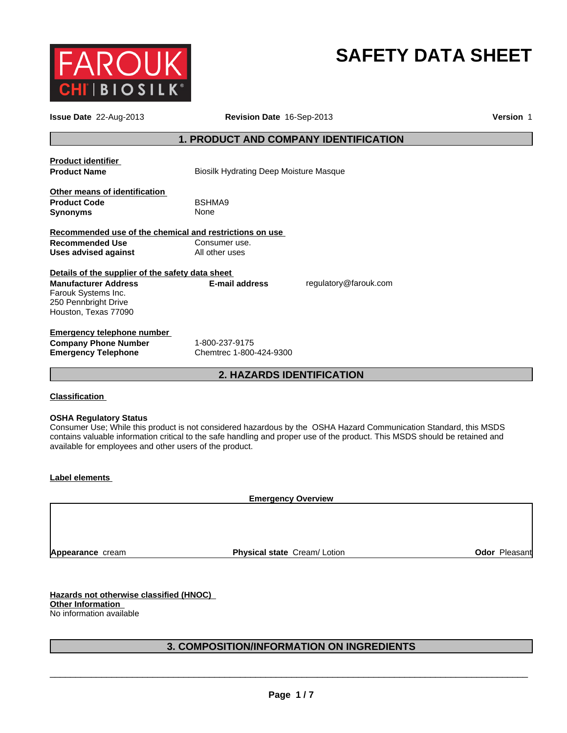

## **SAFETY DATA SHEET**

| Revision Date 16-Sep-2013 |                                                                                                                                                  | Version 1                                                                                                                         |
|---------------------------|--------------------------------------------------------------------------------------------------------------------------------------------------|-----------------------------------------------------------------------------------------------------------------------------------|
|                           |                                                                                                                                                  |                                                                                                                                   |
|                           |                                                                                                                                                  |                                                                                                                                   |
|                           |                                                                                                                                                  |                                                                                                                                   |
|                           |                                                                                                                                                  |                                                                                                                                   |
| BSHMA9                    |                                                                                                                                                  |                                                                                                                                   |
| None                      |                                                                                                                                                  |                                                                                                                                   |
|                           |                                                                                                                                                  |                                                                                                                                   |
| Consumer use.             |                                                                                                                                                  |                                                                                                                                   |
| All other uses            |                                                                                                                                                  |                                                                                                                                   |
|                           |                                                                                                                                                  |                                                                                                                                   |
| <b>E-mail address</b>     | regulatory@farouk.com                                                                                                                            |                                                                                                                                   |
|                           |                                                                                                                                                  |                                                                                                                                   |
|                           |                                                                                                                                                  |                                                                                                                                   |
|                           |                                                                                                                                                  |                                                                                                                                   |
|                           |                                                                                                                                                  |                                                                                                                                   |
| 1-800-237-9175            |                                                                                                                                                  |                                                                                                                                   |
| Chemtrec 1-800-424-9300   |                                                                                                                                                  |                                                                                                                                   |
|                           |                                                                                                                                                  |                                                                                                                                   |
|                           | Recommended use of the chemical and restrictions on use<br>Details of the supplier of the safety data sheet<br><b>Emergency telephone number</b> | <b>1. PRODUCT AND COMPANY IDENTIFICATION</b><br><b>Biosilk Hydrating Deep Moisture Masque</b><br><b>2. HAZARDS IDENTIFICATION</b> |

#### **Classification**

#### **OSHA Regulatory Status**

Consumer Use; While this product is not considered hazardous by the OSHA Hazard Communication Standard, this MSDS contains valuable information critical to the safe handling and proper use of the product. This MSDS should be retained and available for employees and other users of the product.

#### **Label elements**

**Emergency Overview**

**Appearance** cream

**Physical state Cream/ Lotion <b>Calcular Cream/ Lotion Odor Pleasant** 

**Hazards not otherwise classified (HNOC) Other Information**  No information available

#### **3. COMPOSITION/INFORMATION ON INGREDIENTS**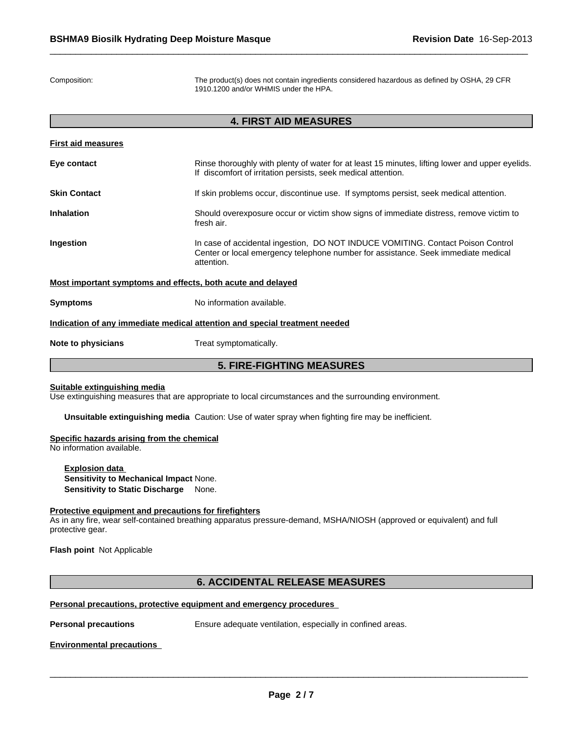Composition: The product(s) does not contain ingredients considered hazardous as defined by OSHA, 29 CFR 1910.1200 and/or WHMIS under the HPA.

| <b>4. FIRST AID MEASURES</b> |                                                                                                                                                                                    |  |
|------------------------------|------------------------------------------------------------------------------------------------------------------------------------------------------------------------------------|--|
| <b>First aid measures</b>    |                                                                                                                                                                                    |  |
| Eye contact                  | Rinse thoroughly with plenty of water for at least 15 minutes, lifting lower and upper eyelids.<br>If discomfort of irritation persists, seek medical attention.                   |  |
| <b>Skin Contact</b>          | If skin problems occur, discontinue use. If symptoms persist, seek medical attention.                                                                                              |  |
| <b>Inhalation</b>            | Should overexposure occur or victim show signs of immediate distress, remove victim to<br>fresh air.                                                                               |  |
| Ingestion                    | In case of accidental ingestion, DO NOT INDUCE VOMITING. Contact Poison Control<br>Center or local emergency telephone number for assistance. Seek immediate medical<br>attention. |  |
|                              | Most important symptoms and effects, both acute and delayed                                                                                                                        |  |
| <b>Symptoms</b>              | No information available.                                                                                                                                                          |  |
|                              | Indication of any immediate medical attention and special treatment needed                                                                                                         |  |
| Note to physicians           | Treat symptomatically.                                                                                                                                                             |  |
|                              | <b>5. FIRE-FIGHTING MEASURES</b>                                                                                                                                                   |  |

#### **Suitable extinguishing media**

Use extinguishing measures that are appropriate to local circumstances and the surrounding environment.

**Unsuitable extinguishing media** Caution: Use of water spray when fighting fire may be inefficient.

#### **Specific hazards arising from the chemical**

No information available.

**Explosion data Sensitivity to Mechanical Impact** None. **Sensitivity to Static Discharge** None.

#### **Protective equipment and precautions for firefighters**

As in any fire, wear self-contained breathing apparatus pressure-demand, MSHA/NIOSH (approved or equivalent) and full protective gear.

**Flash point** Not Applicable

#### **6. ACCIDENTAL RELEASE MEASURES**

#### **Personal precautions, protective equipment and emergency procedures**

\_\_\_\_\_\_\_\_\_\_\_\_\_\_\_\_\_\_\_\_\_\_\_\_\_\_\_\_\_\_\_\_\_\_\_\_\_\_\_\_\_\_\_\_\_\_\_\_\_\_\_\_\_\_\_\_\_\_\_\_\_\_\_\_\_\_\_\_\_\_\_\_\_\_\_\_\_\_\_\_\_\_\_\_\_\_\_\_\_\_\_\_\_ **Personal precautions** Ensure adequate ventilation, especially in confined areas.

**Environmental precautions**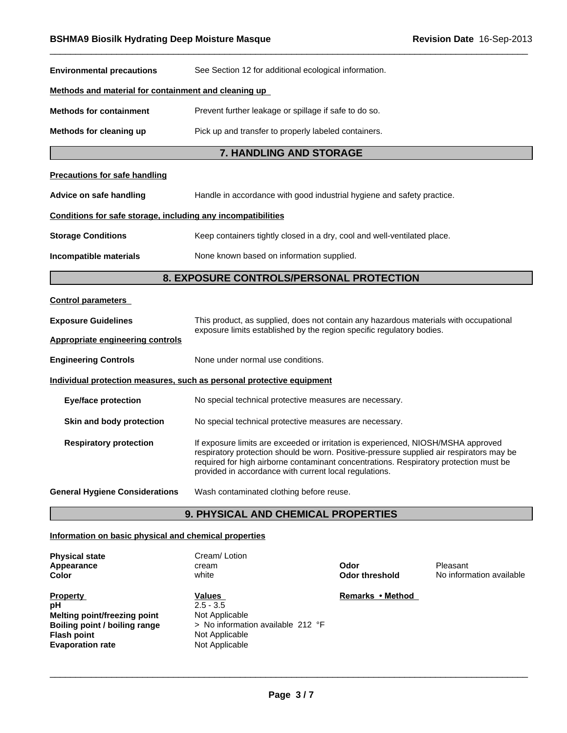| <b>Environmental precautions</b>                             | See Section 12 for additional ecological information.                                                                                                                                                                                                                                                                            |  |  |  |
|--------------------------------------------------------------|----------------------------------------------------------------------------------------------------------------------------------------------------------------------------------------------------------------------------------------------------------------------------------------------------------------------------------|--|--|--|
| Methods and material for containment and cleaning up         |                                                                                                                                                                                                                                                                                                                                  |  |  |  |
| <b>Methods for containment</b>                               | Prevent further leakage or spillage if safe to do so.                                                                                                                                                                                                                                                                            |  |  |  |
| Methods for cleaning up                                      | Pick up and transfer to properly labeled containers.                                                                                                                                                                                                                                                                             |  |  |  |
|                                                              | 7. HANDLING AND STORAGE                                                                                                                                                                                                                                                                                                          |  |  |  |
| <b>Precautions for safe handling</b>                         |                                                                                                                                                                                                                                                                                                                                  |  |  |  |
| Advice on safe handling                                      | Handle in accordance with good industrial hygiene and safety practice.                                                                                                                                                                                                                                                           |  |  |  |
| Conditions for safe storage, including any incompatibilities |                                                                                                                                                                                                                                                                                                                                  |  |  |  |
| <b>Storage Conditions</b>                                    | Keep containers tightly closed in a dry, cool and well-ventilated place.                                                                                                                                                                                                                                                         |  |  |  |
| Incompatible materials                                       | None known based on information supplied.                                                                                                                                                                                                                                                                                        |  |  |  |
|                                                              | 8. EXPOSURE CONTROLS/PERSONAL PROTECTION                                                                                                                                                                                                                                                                                         |  |  |  |
| <b>Control parameters</b>                                    |                                                                                                                                                                                                                                                                                                                                  |  |  |  |
| <b>Exposure Guidelines</b>                                   | This product, as supplied, does not contain any hazardous materials with occupational                                                                                                                                                                                                                                            |  |  |  |
| Appropriate engineering controls                             | exposure limits established by the region specific regulatory bodies.                                                                                                                                                                                                                                                            |  |  |  |
| <b>Engineering Controls</b>                                  | None under normal use conditions.                                                                                                                                                                                                                                                                                                |  |  |  |
|                                                              | Individual protection measures, such as personal protective equipment                                                                                                                                                                                                                                                            |  |  |  |
| <b>Eye/face protection</b>                                   | No special technical protective measures are necessary.                                                                                                                                                                                                                                                                          |  |  |  |
| Skin and body protection                                     | No special technical protective measures are necessary.                                                                                                                                                                                                                                                                          |  |  |  |
| <b>Respiratory protection</b>                                | If exposure limits are exceeded or irritation is experienced, NIOSH/MSHA approved<br>respiratory protection should be worn. Positive-pressure supplied air respirators may be<br>required for high airborne contaminant concentrations. Respiratory protection must be<br>provided in accordance with current local regulations. |  |  |  |
| <b>General Hygiene Considerations</b>                        | Wash contaminated clothing before reuse.                                                                                                                                                                                                                                                                                         |  |  |  |
|                                                              | <b>9. PHYSICAL AND CHEMICAL PROPERTIES</b>                                                                                                                                                                                                                                                                                       |  |  |  |

#### **Information on basic physical and chemical properties**

| <b>Physical state</b><br>Appearance<br>Color | Cream/Lotion<br>cream<br>white      | Odor<br><b>Odor threshold</b> | Pleasant<br>No information available |
|----------------------------------------------|-------------------------------------|-------------------------------|--------------------------------------|
| <b>Property</b>                              | Values                              | Remarks • Method              |                                      |
| рH                                           | $2.5 - 3.5$                         |                               |                                      |
| Melting point/freezing point                 | Not Applicable                      |                               |                                      |
| Boiling point / boiling range                | > No information available $212$ °F |                               |                                      |
| <b>Flash point</b>                           | Not Applicable                      |                               |                                      |
| <b>Evaporation rate</b>                      | Not Applicable                      |                               |                                      |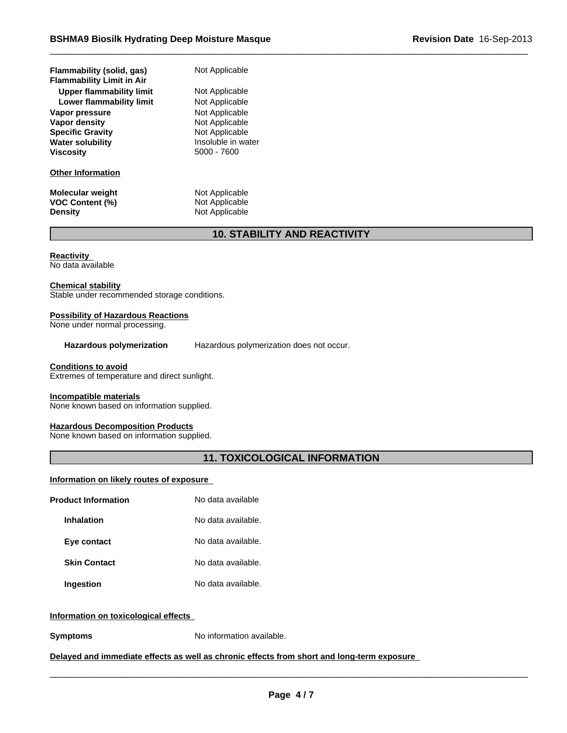| Flammability (solid, gas)<br><b>Flammability Limit in Air</b> | Not Ar   |
|---------------------------------------------------------------|----------|
| Upper flammability limit                                      | Not Ap   |
| Lower flammability limit                                      | Not Ar   |
| Vapor pressure                                                | Not Ar   |
| Vapor density                                                 | Not Ap   |
| <b>Specific Gravity</b>                                       | Not Ap   |
| <b>Water solubility</b>                                       | Insolu   |
| <b>Viscosity</b>                                              | $5000 -$ |
| <b>Other Information</b>                                      |          |
|                                                               |          |

**Molecular weight** Not Applicable **VOC Content (%)** Not Applicable **Density** Not Applicable

**Not Applicable Not Applicable** 

**Not Applicable Not Applicable Not Applicable Not Applicable** Insoluble in water **Viscosity** 5000 - 7600

### **10. STABILITY AND REACTIVITY**

**Reactivity** 

No data available

#### **Chemical stability**

Stable under recommended storage conditions.

#### **Possibility of Hazardous Reactions**

None under normal processing.

**Hazardous polymerization** Hazardous polymerization does not occur.

#### **Conditions to avoid**

Extremes of temperature and direct sunlight.

#### **Incompatible materials**

None known based on information supplied.

#### **Hazardous Decomposition Products**

None known based on information supplied.

### **11. TOXICOLOGICAL INFORMATION**

#### **Information on likely routes of exposure**

| <b>Product Information</b> | No data available  |  |
|----------------------------|--------------------|--|
| <b>Inhalation</b>          | No data available. |  |
| Eye contact                | No data available. |  |
| <b>Skin Contact</b>        | No data available. |  |
| Ingestion                  | No data available. |  |

#### **Information on toxicological effects**

**Symptoms** No information available.

#### **Delayed and immediate effects as well as chronic effects from short and long-term exposure**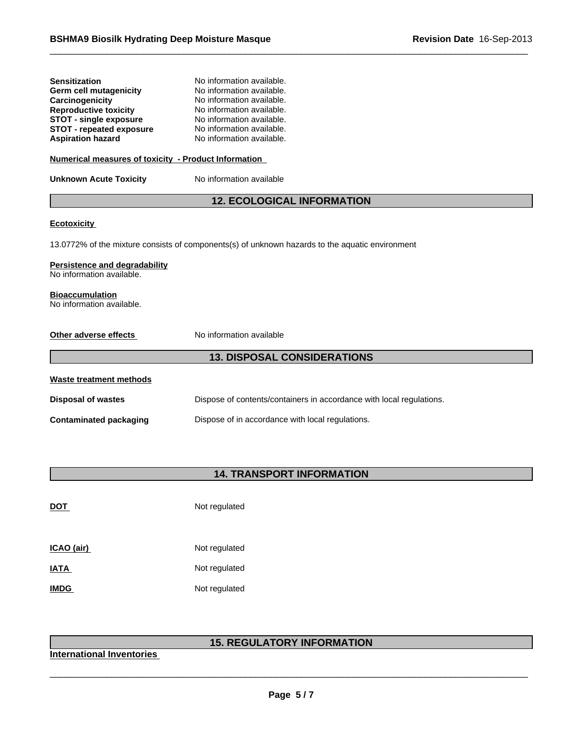| <b>Sensitization</b>            | No information available. |
|---------------------------------|---------------------------|
| Germ cell mutagenicity          | No information available. |
| Carcinogenicity                 | No information available. |
| <b>Reproductive toxicity</b>    | No information available. |
| <b>STOT - single exposure</b>   | No information available. |
| <b>STOT - repeated exposure</b> | No information available. |
| <b>Aspiration hazard</b>        | No information available. |

#### **Numerical measures of toxicity - Product Information**

**Unknown Acute Toxicity** No information available

#### **12. ECOLOGICAL INFORMATION**

#### **Ecotoxicity**

13.0772% of the mixture consists of components(s) of unknown hazards to the aquatic environment

#### **Persistence and degradability**

No information available.

#### **Bioaccumulation**

No information available.

| No information available<br>Other adverse effects |                                                                      |  |  |
|---------------------------------------------------|----------------------------------------------------------------------|--|--|
|                                                   | <b>13. DISPOSAL CONSIDERATIONS</b>                                   |  |  |
| Waste treatment methods                           |                                                                      |  |  |
| <b>Disposal of wastes</b>                         | Dispose of contents/containers in accordance with local regulations. |  |  |
| <b>Contaminated packaging</b>                     | Dispose of in accordance with local regulations.                     |  |  |

## **14. TRANSPORT INFORMATION**

| <b>DOT</b>  | Not regulated |
|-------------|---------------|
| ICAO (air)  | Not regulated |
| <b>IATA</b> | Not regulated |
| <b>IMDG</b> | Not regulated |

# \_\_\_\_\_\_\_\_\_\_\_\_\_\_\_\_\_\_\_\_\_\_\_\_\_\_\_\_\_\_\_\_\_\_\_\_\_\_\_\_\_\_\_\_\_\_\_\_\_\_\_\_\_\_\_\_\_\_\_\_\_\_\_\_\_\_\_\_\_\_\_\_\_\_\_\_\_\_\_\_\_\_\_\_\_\_\_\_\_\_\_\_\_ **15. REGULATORY INFORMATION**

**International Inventories**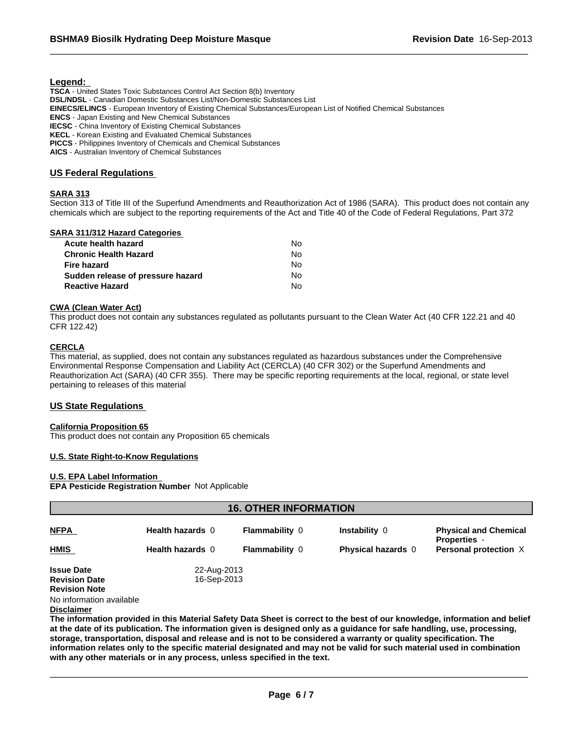#### **Legend:**

**TSCA** - United States Toxic Substances Control Act Section 8(b) Inventory **DSL/NDSL** - Canadian Domestic Substances List/Non-Domestic Substances List **EINECS/ELINCS** - European Inventory of Existing Chemical Substances/European List of Notified Chemical Substances **ENCS** - Japan Existing and New Chemical Substances **IECSC** - China Inventory of Existing Chemical Substances **KECL** - Korean Existing and Evaluated Chemical Substances **PICCS** - Philippines Inventory of Chemicals and Chemical Substances **AICS** - Australian Inventory of Chemical Substances

#### **US Federal Regulations**

#### **SARA 313**

Section 313 of Title III of the Superfund Amendments and Reauthorization Act of 1986 (SARA). This product does not contain any chemicals which are subject to the reporting requirements of the Act and Title 40 of the Code of Federal Regulations, Part 372

#### **SARA 311/312 Hazard Categories**

| Acute health hazard               | No. |  |
|-----------------------------------|-----|--|
| Chronic Health Hazard             | No. |  |
| Fire hazard                       | No. |  |
| Sudden release of pressure hazard | No. |  |
| <b>Reactive Hazard</b>            | N٥  |  |

#### **CWA (Clean Water Act)**

This product does not contain any substances regulated as pollutants pursuant to the Clean Water Act (40 CFR 122.21 and 40 CFR 122.42)

#### **CERCLA**

This material, as supplied, does not contain any substances regulated as hazardous substances under the Comprehensive Environmental Response Compensation and Liability Act (CERCLA) (40 CFR 302) or the Superfund Amendments and Reauthorization Act (SARA) (40 CFR 355). There may be specific reporting requirements at the local, regional, or state level pertaining to releases of this material

#### **US State Regulations**

#### **California Proposition 65**

This product does not contain any Proposition 65 chemicals

#### **U.S. State Right-to-Know Regulations**

#### **U.S. EPA Label Information**

#### **EPA Pesticide Registration Number** Not Applicable

| <b>16. OTHER INFORMATION</b>              |                            |                       |                           |                                                     |
|-------------------------------------------|----------------------------|-----------------------|---------------------------|-----------------------------------------------------|
| <b>NFPA</b>                               | Health hazards 0           | <b>Flammability 0</b> | Instability 0             | <b>Physical and Chemical</b><br><b>Properties</b> - |
| <b>HMIS</b>                               | Health hazards 0           | <b>Flammability 0</b> | <b>Physical hazards</b> 0 | Personal protection X                               |
| <b>Issue Date</b><br><b>Revision Date</b> | 22-Aug-2013<br>16-Sep-2013 |                       |                           |                                                     |
| <b>Revision Note</b><br>$\blacksquare$    |                            |                       |                           |                                                     |

No information available

#### **Disclaimer**

**The information provided in this Material Safety Data Sheet is correct to the best of our knowledge, information and belief at the date of its publication. The information given is designed only as a guidance for safe handling, use, processing, storage, transportation, disposal and release and is not to be considered a warranty or quality specification. The information relates only to the specific material designated and may not be valid for such material used in combination with any other materials or in any process, unless specified in the text.**